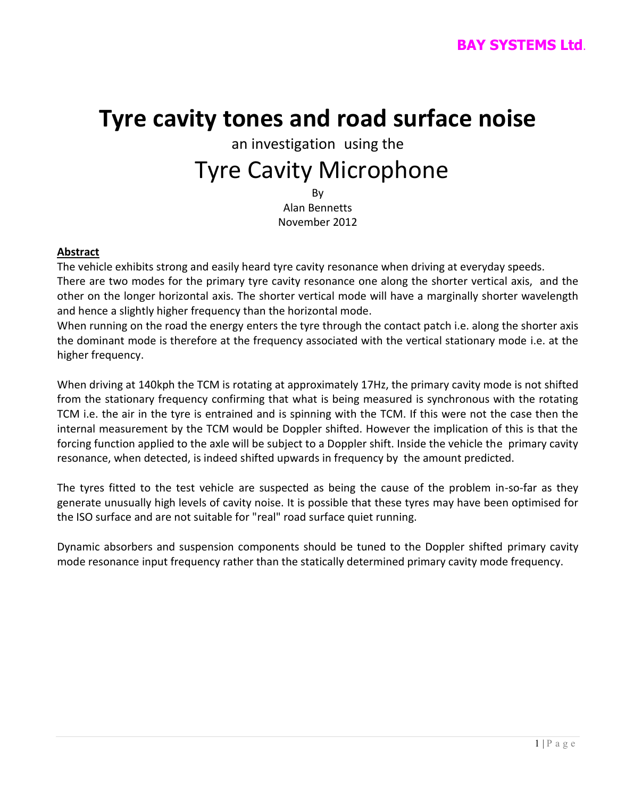# **Tyre cavity tones and road surface noise**

# an investigation using the Tyre Cavity Microphone

By Alan Bennetts November 2012

### **Abstract**

The vehicle exhibits strong and easily heard tyre cavity resonance when driving at everyday speeds. There are two modes for the primary tyre cavity resonance one along the shorter vertical axis, and the other on the longer horizontal axis. The shorter vertical mode will have a marginally shorter wavelength and hence a slightly higher frequency than the horizontal mode.

When running on the road the energy enters the tyre through the contact patch i.e. along the shorter axis the dominant mode is therefore at the frequency associated with the vertical stationary mode i.e. at the higher frequency.

When driving at 140kph the TCM is rotating at approximately 17Hz, the primary cavity mode is not shifted from the stationary frequency confirming that what is being measured is synchronous with the rotating TCM i.e. the air in the tyre is entrained and is spinning with the TCM. If this were not the case then the internal measurement by the TCM would be Doppler shifted. However the implication of this is that the forcing function applied to the axle will be subject to a Doppler shift. Inside the vehicle the primary cavity resonance, when detected, is indeed shifted upwards in frequency by the amount predicted.

The tyres fitted to the test vehicle are suspected as being the cause of the problem in-so-far as they generate unusually high levels of cavity noise. It is possible that these tyres may have been optimised for the ISO surface and are not suitable for "real" road surface quiet running.

Dynamic absorbers and suspension components should be tuned to the Doppler shifted primary cavity mode resonance input frequency rather than the statically determined primary cavity mode frequency.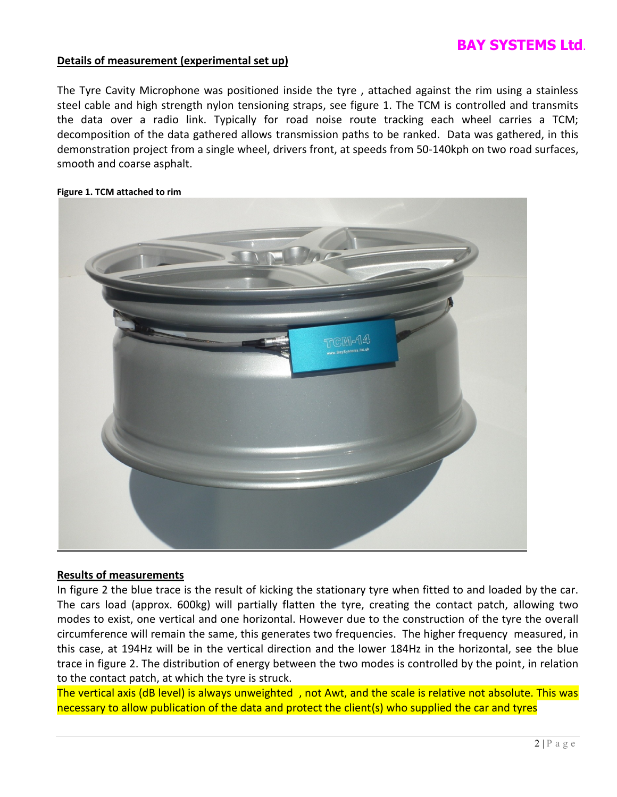### **Details of measurement (experimental set up)**

The Tyre Cavity Microphone was positioned inside the tyre , attached against the rim using a stainless steel cable and high strength nylon tensioning straps, see figure 1. The TCM is controlled and transmits the data over a radio link. Typically for road noise route tracking each wheel carries a TCM; decomposition of the data gathered allows transmission paths to be ranked. Data was gathered, in this demonstration project from a single wheel, drivers front, at speeds from 50-140kph on two road surfaces, smooth and coarse asphalt.

# CM-14

### **Figure 1. TCM attached to rim**

### **Results of measurements**

In figure 2 the blue trace is the result of kicking the stationary tyre when fitted to and loaded by the car. The cars load (approx. 600kg) will partially flatten the tyre, creating the contact patch, allowing two modes to exist, one vertical and one horizontal. However due to the construction of the tyre the overall circumference will remain the same, this generates two frequencies. The higher frequency measured, in this case, at 194Hz will be in the vertical direction and the lower 184Hz in the horizontal, see the blue trace in figure 2. The distribution of energy between the two modes is controlled by the point, in relation to the contact patch, at which the tyre is struck.

The vertical axis (dB level) is always unweighted , not Awt, and the scale is relative not absolute. This was necessary to allow publication of the data and protect the client(s) who supplied the car and tyres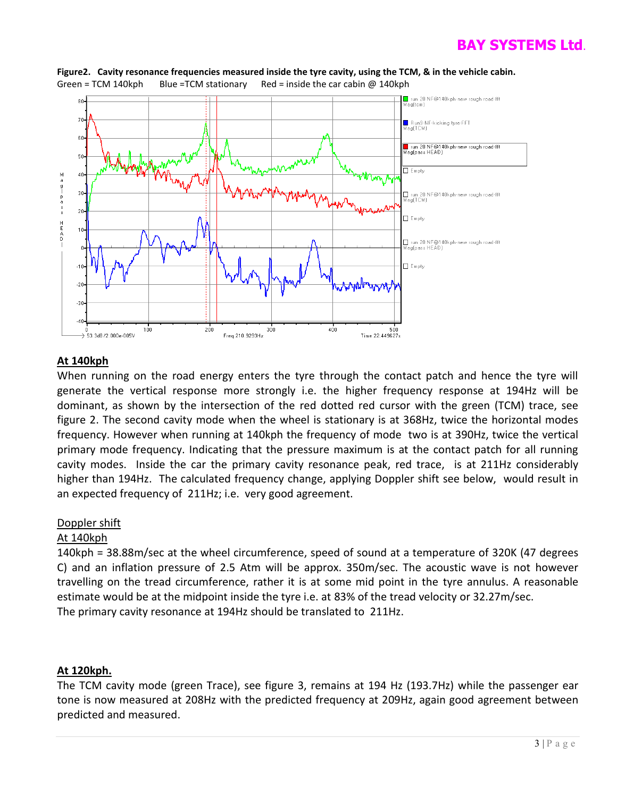

**Figure2. Cavity resonance frequencies measured inside the tyre cavity, using the TCM, & in the vehicle cabin.** Green = TCM 140kph Blue = TCM stationary Red = inside the car cabin  $@$  140kph

### **At 140kph**

When running on the road energy enters the tyre through the contact patch and hence the tyre will generate the vertical response more strongly i.e. the higher frequency response at 194Hz will be dominant, as shown by the intersection of the red dotted red cursor with the green (TCM) trace, see figure 2. The second cavity mode when the wheel is stationary is at 368Hz, twice the horizontal modes frequency. However when running at 140kph the frequency of mode two is at 390Hz, twice the vertical primary mode frequency. Indicating that the pressure maximum is at the contact patch for all running cavity modes. Inside the car the primary cavity resonance peak, red trace, is at 211Hz considerably higher than 194Hz. The calculated frequency change, applying Doppler shift see below, would result in an expected frequency of 211Hz; i.e. very good agreement.

### Doppler shift

### At 140kph

140kph = 38.88m/sec at the wheel circumference, speed of sound at a temperature of 320K (47 degrees C) and an inflation pressure of 2.5 Atm will be approx. 350m/sec. The acoustic wave is not however travelling on the tread circumference, rather it is at some mid point in the tyre annulus. A reasonable estimate would be at the midpoint inside the tyre i.e. at 83% of the tread velocity or 32.27m/sec. The primary cavity resonance at 194Hz should be translated to 211Hz.

### **At 120kph.**

The TCM cavity mode (green Trace), see figure 3, remains at 194 Hz (193.7Hz) while the passenger ear tone is now measured at 208Hz with the predicted frequency at 209Hz, again good agreement between predicted and measured.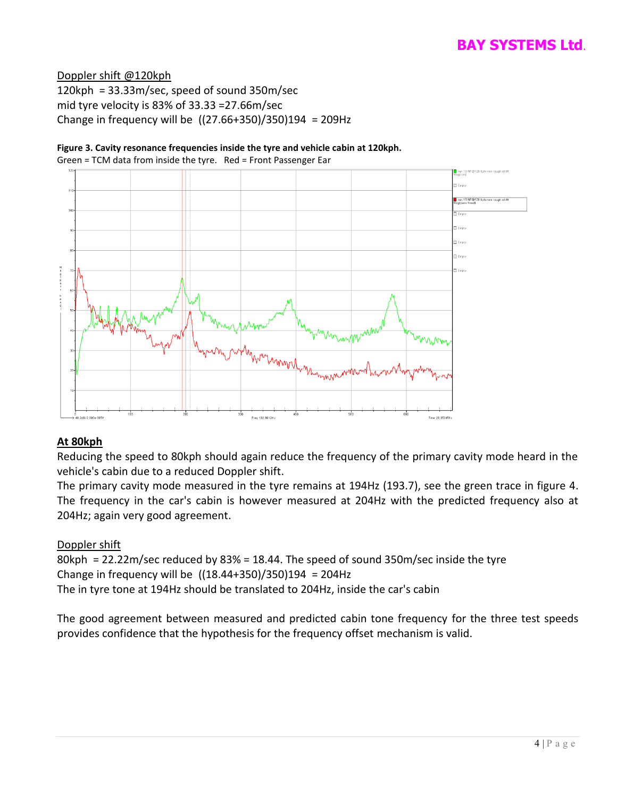### Doppler shift @120kph

120kph = 33.33m/sec, speed of sound 350m/sec mid tyre velocity is 83% of 33.33 =27.66m/sec Change in frequency will be ((27.66+350)/350)194 = 209Hz



### **Figure 3. Cavity resonance frequencies inside the tyre and vehicle cabin at 120kph.**

Green = TCM data from inside the tyre. Red = Front Passenger Ear

### **At 80kph**

Reducing the speed to 80kph should again reduce the frequency of the primary cavity mode heard in the vehicle's cabin due to a reduced Doppler shift.

The primary cavity mode measured in the tyre remains at 194Hz (193.7), see the green trace in figure 4. The frequency in the car's cabin is however measured at 204Hz with the predicted frequency also at 204Hz; again very good agreement.

### Doppler shift

80kph = 22.22m/sec reduced by 83% = 18.44. The speed of sound 350m/sec inside the tyre Change in frequency will be  $((18.44+350)/350)194 = 204$ Hz The in tyre tone at 194Hz should be translated to 204Hz, inside the car's cabin

The good agreement between measured and predicted cabin tone frequency for the three test speeds provides confidence that the hypothesis for the frequency offset mechanism is valid.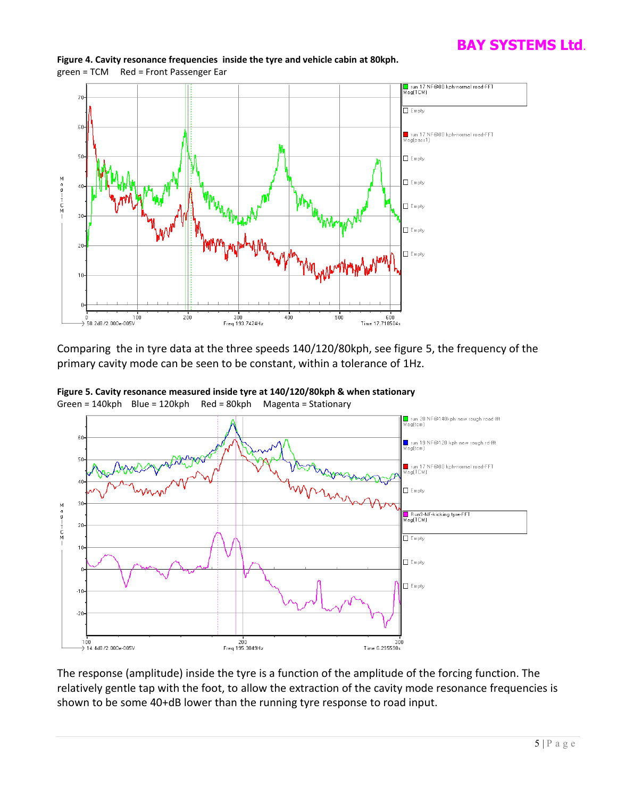

**Figure 4. Cavity resonance frequencies inside the tyre and vehicle cabin at 80kph.** green = TCM Red = Front Passenger Ear

Comparing the in tyre data at the three speeds 140/120/80kph, see figure 5, the frequency of the primary cavity mode can be seen to be constant, within a tolerance of 1Hz.



**Figure 5. Cavity resonance measured inside tyre at 140/120/80kph & when stationary** Green = 140kph Blue = 120kph Red = 80kph Magenta = Stationary

The response (amplitude) inside the tyre is a function of the amplitude of the forcing function. The relatively gentle tap with the foot, to allow the extraction of the cavity mode resonance frequencies is shown to be some 40+dB lower than the running tyre response to road input.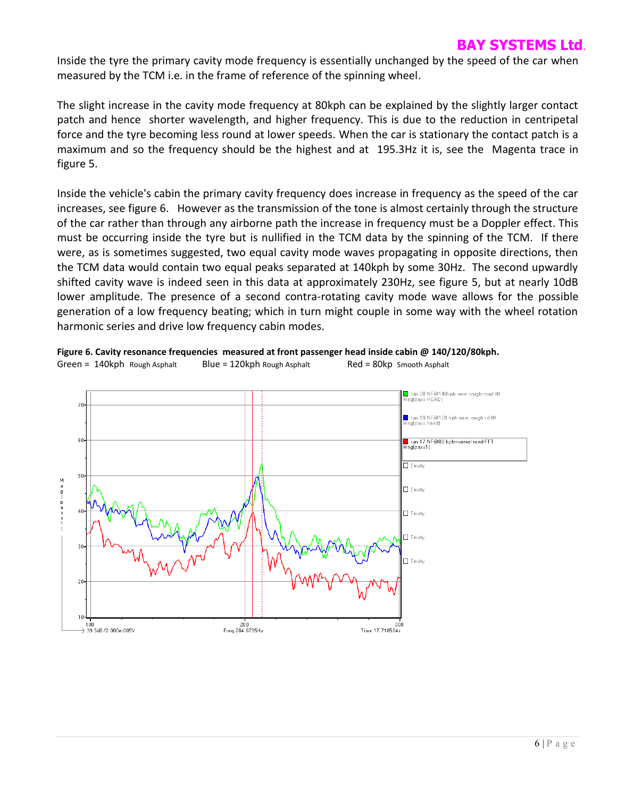Inside the tyre the primary cavity mode frequency is essentially unchanged by the speed of the car when measured by the TCM i.e. in the frame of reference of the spinning wheel.

The slight increase in the cavity mode frequency at 80kph can be explained by the slightly larger contact patch and hence shorter wavelength, and higher frequency. This is due to the reduction in centripetal force and the tyre becoming less round at lower speeds. When the car is stationary the contact patch is a maximum and so the frequency should be the highest and at 195.3Hz it is, see the Magenta trace in figure 5.

Inside the vehicle's cabin the primary cavity frequency does increase in frequency as the speed of the car increases, see figure 6. However as the transmission of the tone is almost certainly through the structure of the car rather than through any airborne path the increase in frequency must be a Doppler effect. This must be occurring inside the tyre but is nullified in the TCM data by the spinning of the TCM. If there were, as is sometimes suggested, two equal cavity mode waves propagating in opposite directions, then the TCM data would contain two equal peaks separated at 140kph by some 30Hz. The second upwardly shifted cavity wave is indeed seen in this data at approximately 230Hz, see figure 5, but at nearly 10dB lower amplitude. The presence of a second contra-rotating cavity mode wave allows for the possible generation of a low frequency beating; which in turn might couple in some way with the wheel rotation harmonic series and drive low frequency cabin modes.



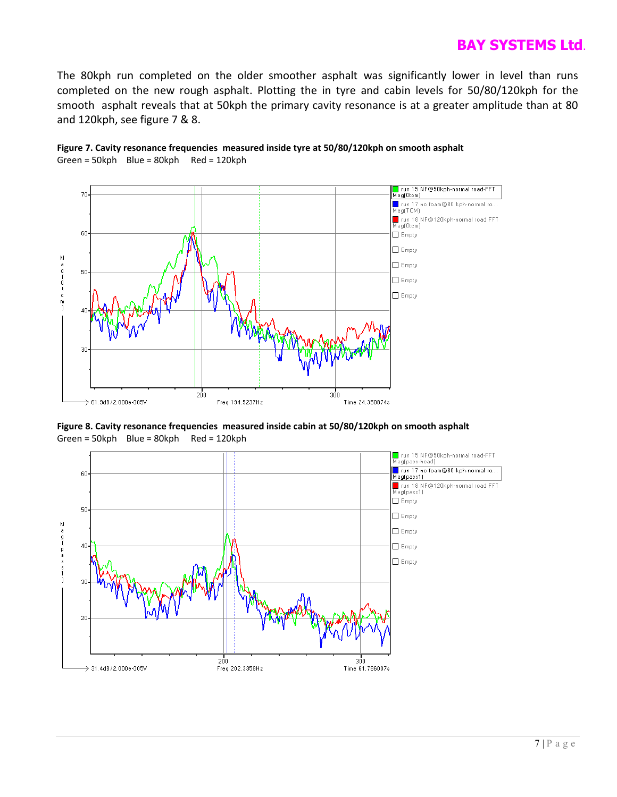The 80kph run completed on the older smoother asphalt was significantly lower in level than runs completed on the new rough asphalt. Plotting the in tyre and cabin levels for 50/80/120kph for the smooth asphalt reveals that at 50kph the primary cavity resonance is at a greater amplitude than at 80 and 120kph, see figure 7 & 8.





**Figure 8. Cavity resonance frequencies measured inside cabin at 50/80/120kph on smooth asphalt** Green = 50kph Blue = 80kph Red = 120kph

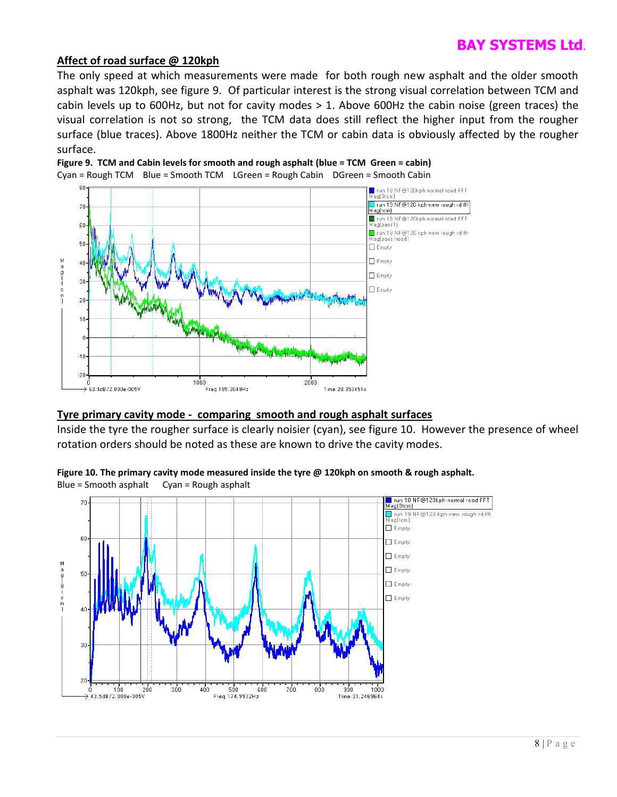### **Affect of road surface @ 120kph**

The only speed at which measurements were made for both rough new asphalt and the older smooth asphalt was 120kph, see figure 9. Of particular interest is the strong visual correlation between TCM and cabin levels up to 600Hz, but not for cavity modes > 1. Above 600Hz the cabin noise (green traces) the visual correlation is not so strong, the TCM data does still reflect the higher input from the rougher surface (blue traces). Above 1800Hz neither the TCM or cabin data is obviously affected by the rougher surface.



**Figure 9. TCM and Cabin levels for smooth and rough asphalt (blue = TCM Green = cabin)**

### **Tyre primary cavity mode - comparing smooth and rough asphalt surfaces**

Inside the tyre the rougher surface is clearly noisier (cyan), see figure 10. However the presence of wheel rotation orders should be noted as these are known to drive the cavity modes.



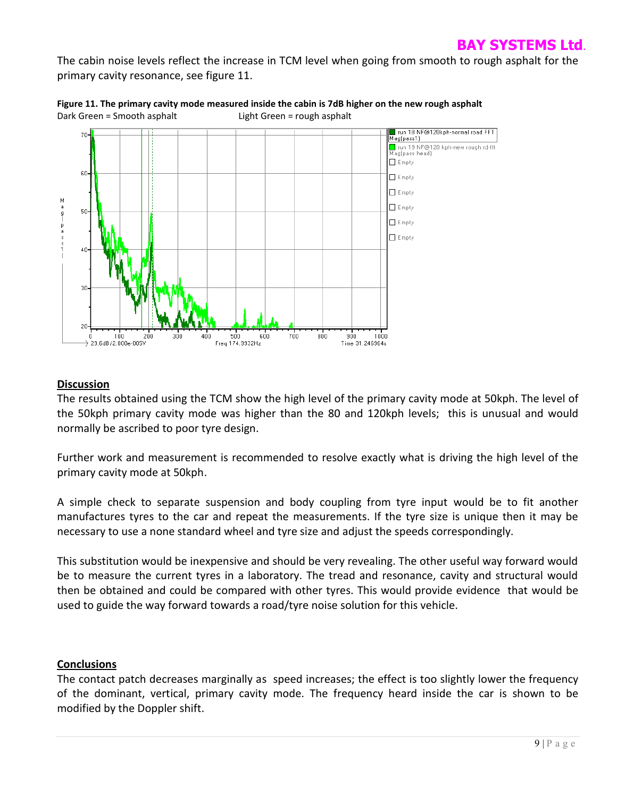The cabin noise levels reflect the increase in TCM level when going from smooth to rough asphalt for the primary cavity resonance, see figure 11.





### **Discussion**

The results obtained using the TCM show the high level of the primary cavity mode at 50kph. The level of the 50kph primary cavity mode was higher than the 80 and 120kph levels; this is unusual and would normally be ascribed to poor tyre design.

Further work and measurement is recommended to resolve exactly what is driving the high level of the primary cavity mode at 50kph.

A simple check to separate suspension and body coupling from tyre input would be to fit another manufactures tyres to the car and repeat the measurements. If the tyre size is unique then it may be necessary to use a none standard wheel and tyre size and adjust the speeds correspondingly.

This substitution would be inexpensive and should be very revealing. The other useful way forward would be to measure the current tyres in a laboratory. The tread and resonance, cavity and structural would then be obtained and could be compared with other tyres. This would provide evidence that would be used to guide the way forward towards a road/tyre noise solution for this vehicle.

### **Conclusions**

The contact patch decreases marginally as speed increases; the effect is too slightly lower the frequency of the dominant, vertical, primary cavity mode. The frequency heard inside the car is shown to be modified by the Doppler shift.